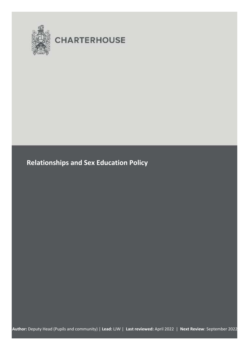

# **CHARTERHOUSE**

# **Relationships and Sex Education Policy**

**Author:** Deputy Head (Pupils and community) | **Lead:** LJW | **Last reviewed:** April 2022 | **Next Review**: September 2022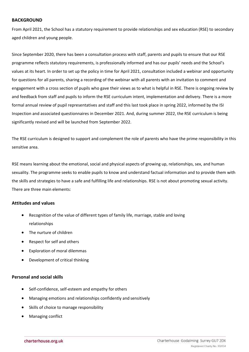#### **BACKGROUND**

From April 2021, the School has a statutory requirement to provide relationships and sex education (RSE) to secondary aged children and young people.

Since September 2020, there has been a consultation process with staff, parents and pupils to ensure that our RSE programme reflects statutory requirements, is professionally informed and has our pupils' needs and the School's values at its heart. In order to set up the policy in time for April 2021, consultation included a webinar and opportunity for questions for all parents, sharing a recording of the webinar with all parents with an invitation to comment and engagement with a cross section of pupils who gave their views as to what is helpful in RSE. There is ongoing review by and feedback from staff and pupils to inform the RSE curriculum intent, implementation and delivery. There is a more formal annual review of pupil representatives and staff and this last took place in spring 2022, informed by the ISI Inspection and associated questionnaires in December 2021. And, during summer 2022, the RSE curriculum is being significantly revised and will be launched from September 2022.

The RSE curriculum is designed to support and complement the role of parents who have the prime responsibility in this sensitive area.

RSE means learning about the emotional, social and physical aspects of growing up, relationships, sex, and human sexuality. The programme seeks to enable pupils to know and understand factual information and to provide them with the skills and strategies to have a safe and fulfilling life and relationships. RSE is not about promoting sexual activity. There are three main elements:

#### **Attitudes and values**

- Recognition of the value of different types of family life, marriage, stable and loving relationships
- The nurture of children
- Respect for self and others
- Exploration of moral dilemmas
- Development of critical thinking

#### **Personal and social skills**

- Self-confidence, self-esteem and empathy for others
- Managing emotions and relationships confidently and sensitively
- Skills of choice to manage responsibility
- Managing conflict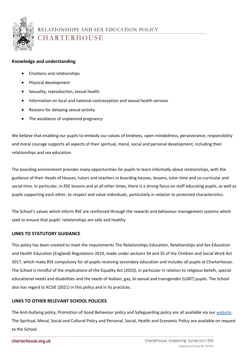

### RELATIONSHIPS AND SEX EDUCATION POLICY C H A R T E R H O U S E

#### **Knowledge and understanding**

- Emotions and relationships
- Physical development
- Sexuality, reproduction, sexual health
- Information on local and national contraception and sexual health services
- Reasons for delaying sexual activity
- The avoidance of unplanned pregnancy

We believe that enabling our pupils to embody our values of kindness, open-mindedness, perseverance, responsibility and moral courage supports all aspects of their spiritual, moral, social and personal development, including their relationships and sex education.

The boarding environment provides many opportunities for pupils to learn informally about relationships, with the guidance of their Heads of Houses, tutors and teachers in boarding houses, lessons, tutor time and co-curricular and social time. In particular, in RSE lessons and at all other times, there is a strong focus on staff educating pupils, as well as pupils supporting each other, to respect and value individuals, particularly in relation to protected characteristics.

The School's values which inform RSE are reinforced through the rewards and behaviour management systems which seek to ensure that pupils' relationships are safe and healthy.

#### **LINKS TO STATUTORY GUIDANCE**

1 This policy has been created to meet the requirements The Relationships Education, Relationships and Sex Education and Health Education (England) Regulations 2019, made under sections 34 and 35 of the Children and Social Work Act 2017, which make RSE compulsory for all pupils receiving secondary education and includes all pupils at Charterhouse. The School is mindful of the implications of the Equality Act (2010), in particular in relation to religious beliefs, special educational needs and disabilities and the needs of lesbian, gay, bi-sexual and transgender (LGBT) pupils. The School also has regard to KCSIE (2021) in this policy and in its practices.

#### **LINKS TO OTHER RELEVANT SCHOOL POLICIES**

The Anti-bullying policy, Promotion of Good Behaviour policy and Safeguarding policy are all available via ou[r website.](https://www.charterhouse.org.uk/about-us/school-policy-documents) The Spiritual, Moral, Social and Cultural Policy and Personal, Social, Health and Economic Policy are available on request to the School.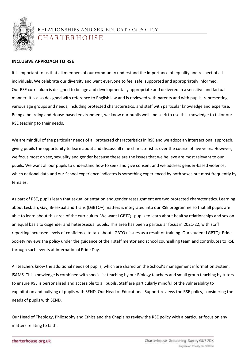

### RELATIONSHIPS AND SEX EDUCATION POLICY **CHARTERHOUSE**

#### <span id="page-3-0"></span>**INCLUSIVE APPROACH TO RSE**

It is important to us that all members of our community understand the importance of equality and respect of all individuals. We celebrate our diversity and want everyone to feel safe, supported and appropriately informed. Our RSE curriculum is designed to be age and developmentally appropriate and delivered in a sensitive and factual manner. It is also designed with reference to English law and is reviewed with parents and with pupils, representing various age groups and needs, including protected characteristics, and staff with particular knowledge and expertise. Being a boarding and House-based environment, we know our pupils well and seek to use this knowledge to tailor our RSE teaching to their needs.

We are mindful of the particular needs of all protected characteristics in RSE and we adopt an intersectional approach, giving pupils the opportunity to learn about and discuss all nine characteristics over the course of five years. However, we focus most on sex, sexuality and gender because these are the issues that we believe are most relevant to our pupils. We want all our pupils to understand how to seek and give consent and we address gender-based violence, which national data and our School experience indicates is something experienced by both sexes but most frequently by females.

Society reviews the policy under the guidance of their staff mentor and school counselling team and contributes to RSE As part of RSE, pupils learn that sexual orientation and gender reassignment are two protected characteristics. Learning about Lesbian, Gay, Bi-sexual and Trans (LGBTQ+) matters is integrated into our RSE programme so that all pupils are able to learn about this area of the curriculum. We want LGBTQ+ pupils to learn about healthy relationships and sex on an equal basis to cisgender and heterosexual pupils. This area has been a particular focus in 2021-22, with staff reporting increased levels of confidence to talk about LGBTQ+ issues as a result of training. Our student LGBTQ+ Pride through such events at international Pride Day.

All teachers know the additional needs of pupils, which are shared on the School's management information system, iSAMS. This knowledge is combined with specialist teaching by our Biology teachers and small group teaching by tutors to ensure RSE is personalised and accessible to all pupils. Staff are particularly mindful of the vulnerability to exploitation and bullying of pupils with SEND. Our Head of Educational Support reviews the RSE policy, considering the needs of pupils with SEND.

Our Head of Theology, Philosophy and Ethics and the Chaplains review the RSE policy with a particular focus on any matters relating to faith.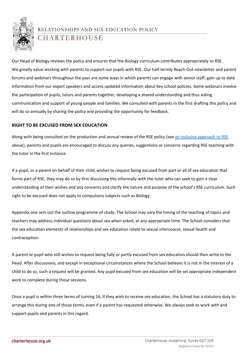

### **CHARTERHOUSE**

Our Head of Biology reviews the policy and ensures that the Biology curriculum contributes appropriately to RSE. We greatly value working with parents to support our pupils with RSE. Our half-termly Reach-Out newsletter and parent forums and webinars throughout the year are some ways in which parents can engage with senior staff, gain up to date information from our expert speakers and access updated information about key school policies. Some webinars involve the participation of pupils, tutors and parents together, developing a shared understanding and thus aiding communication and support of young people and families. We consulted with parents in the first drafting this policy and will do so annually by sharing the policy and providing the opportunity for feedback.

#### **RIGHT TO BE EXCUSED FROM SEX EDUCATION**

Along with being consulted on the production and annual review of the RSE policy (see [an inclusive approach to RSE](#page-3-0) above), parents and pupils are encouraged to discuss any queries, suggestions or concerns regarding RSE teaching with the tutor in the first instance.

If a pupil, or a parent on behalf of their child, wishes to request being excused from part or all of sex education that forms part of RSE, they may do so by first discussing this informally with the tutor who can seek to gain a clear understanding of their wishes and any concerns and clarify the nature and purpose of the school's RSE curriculum. Such right to be excused does not apply to compulsory subjects such as Biology.

contraception. Appendix one sets out the outline programme of study. The School may vary the timing of the teaching of topics and teachers may address individual questions about sex when asked, at any appropriate time. The School considers that the sex education elements of relationships and sex education relate to sexual intercourse, sexual health and

A parent or pupil who still wishes to request being fully or partly excused from sex education should then write to the Head. After discussions, and except in exceptional circumstances where the School believes it is not in the interest of a child to do so, such a request will be granted. Any pupil excused from sex education will be set appropriate independent work to complete during those sessions.

Once a pupil is within three terms of turning 16, if they wish to receive sex education, the School has a statutory duty to arrange this during one of those terms, even if a parent has requested otherwise. We always seek to work with and support pupils and parents in this regard.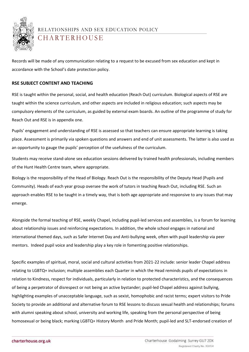

### **CHARTERHOUSE**

Records will be made of any communication relating to a request to be excused from sex education and kept in accordance with the School's date protection policy.

#### **RSE SUBJECT CONTENT AND TEACHING**

RSE is taught within the personal, social, and health education (Reach Out) curriculum. Biological aspects of RSE are taught within the science curriculum, and other aspects are included in religious education; such aspects may be compulsory elements of the curriculum, as guided by external exam boards. An outline of the programme of study for Reach Out and RSE is in appendix one.

Pupils' engagement and understanding of RSE is assessed so that teachers can ensure appropriate learning is taking place. Assessment is primarily via spoken questions and answers and end of unit assessments. The latter is also used as an opportunity to gauge the pupils' perception of the usefulness of the curriculum.

Students may receive stand-alone sex education sessions delivered by trained health professionals, including members of the Hunt Health Centre team, where appropriate.

Biology is the responsibility of the Head of Biology. Reach Out is the responsibility of the Deputy Head (Pupils and Community). Heads of each year group oversee the work of tutors in teaching Reach Out, including RSE. Such an approach enables RSE to be taught in a timely way, that is both age appropriate and responsive to any issues that may emerge.

1 international themed days, such as Safer Internet Day and Anti-bullying week, often with pupil leadership via peer mentors. Indeed pupil voice and leadership play a key role in fomenting positive relationships. Alongside the formal teaching of RSE, weekly Chapel, including pupil-led services and assemblies, is a forum for learning about relationship issues and reinforcing expectations. In addition, the whole school engages in national and

Specific examples of spiritual, moral, social and cultural activities from 2021-22 include: senior leader Chapel address relating to LGBTQ+ inclusion; multiple assemblies each Quarter in which the Head reminds pupils of expectations in relation to Kindness, respect for individuals, particularly in relation to protected characteristics, and the consequences of being a perpetrator of disrespect or not being an active bystander; pupil-led Chapel address against bullying, highlighting examples of unacceptable language, such as sexist, homophobic and racist terms; expert visitors to Pride Society to provide an additional and alternative forum to RSE lessons to discuss sexual health and relationships; forums with alumni speaking about school, university and working life, speaking from the personal perspective of being homosexual or being black; marking LGBTQ+ History Month and Pride Month; pupil-led and SLT-endorsed creation of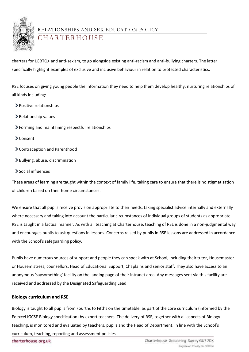

### C H A R T E R H O U S E

charters for LGBTQ+ and anti-sexism, to go alongside existing anti-racism and anti-bullying charters. The latter specifically highlight examples of exclusive and inclusive behaviour in relation to protected characteristics.

RSE focuses on giving young people the information they need to help them develop healthy, nurturing relationships of all kinds including:

- Positive relationships
- Relationship values
- Forming and maintaining respectful relationships
- > Consent
- > Contraception and Parenthood
- > Bullying, abuse, discrimination
- > Social influences

These areas of learning are taught within the context of family life, taking care to ensure that there is no stigmatisation of children based on their home circumstances.

with the School's safeguarding policy. We ensure that all pupils receive provision appropriate to their needs, taking specialist advice internally and externally where necessary and taking into account the particular circumstances of individual groups of students as appropriate. RSE is taught in a factual manner. As with all teaching at Charterhouse, teaching of RSE is done in a non-judgmental way and encourages pupils to ask questions in lessons. Concerns raised by pupils in RSE lessons are addressed in accordance

Pupils have numerous sources of support and people they can speak with at School, including their tutor, Housemaster or Housemistress, counsellors, Head of Educational Support, Chaplains and senior staff. They also have access to an anonymous 'saysomething' facility on the landing page of their intranet area. Any messages sent via this facility are received and addressed by the Designated Safeguarding Lead.

#### **Biology curriculum and RSE**

Biology is taught to all pupils from Fourths to Fifths on the timetable, as part of the core curriculum (informed by the Edexcel IGCSE Biology specification) by expert teachers. The delivery of RSE, together with all aspects of Biology teaching, is monitored and evaluated by teachers, pupils and the Head of Department, in line with the School's curriculum, teaching, reporting and assessment policies.

charterhouse.org.uk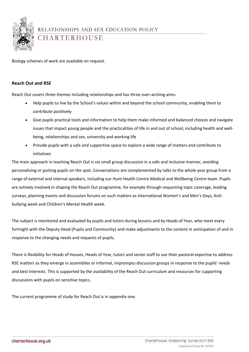

### C H A R T E R H O U S E

Biology schemes of work are available on request.

#### **Reach Out and RSE**

Reach Out covers three themes including relationships and has three over-arching aims:

- Help pupils to live by the School's values within and beyond the school community, enabling them to contribute positively
- Give pupils practical tools and information to help them make informed and balanced choices and navigate issues that impact young people and the practicalities of life in and out of school, including health and wellbeing, relationships and sex, university and working life
- Provide pupils with a safe and supportive space to explore a wide range of matters and contribute to initiatives

The main approach in teaching Reach Out is via small group discussion in a safe and inclusive manner, avoiding personalising or putting pupils on the spot. Conversations are complemented by talks to the whole year group from a range of external and internal speakers, including our Hunt Health Centre Medical and Wellbeing Centre team. Pupils are actively involved in shaping the Reach Out programme, for example through requesting topic coverage, leading surveys, planning events and discussion forums on such matters as International Women's and Men's Days, Antibullying week and Children's Mental Health week.

response to the changing needs and requests of pupils. The subject is monitored and evaluated by pupils and tutors during lessons and by Heads of Year, who meet every fortnight with the Deputy Head (Pupils and Community) and make adjustments to the content in anticipation of and in

There is flexibility for Heads of Houses, Heads of Year, tutors and senior staff to use their pastoral expertise to address RSE matters as they emerge in assemblies or informal, impromptu discussion groups in response to the pupils' needs and best interests. This is supported by the availability of the Reach Out curriculum and resources for supporting discussions with pupils on sensitive topics.

The current programme of study for Reach Out is in appendix one.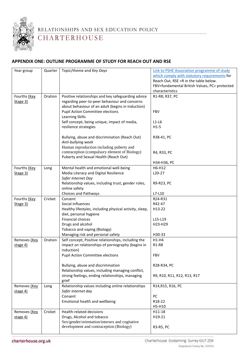

**CHARTERHOUSE** 

#### **APPENDIX ONE: OUTLINE PROGRAMME OF STUDY FOR REACH OUT AND RSE**

| Year group   | Quarter | Topic/theme and Key Days                                                                | Link to PSHE Association programme of study   |
|--------------|---------|-----------------------------------------------------------------------------------------|-----------------------------------------------|
|              |         |                                                                                         | which comply with statutory requirements for  |
|              |         |                                                                                         | Reach Out, RSE = R in the table below.        |
|              |         |                                                                                         | FBV=fundamental British Values, PC= protected |
|              |         |                                                                                         | characteristics                               |
| Fourths (Key | Oration | Positive relationships and key safeguarding advice                                      | R1-R8; R37, PC                                |
| Stage 3)     |         | regarding peer-to-peer behaviour and concerns                                           |                                               |
|              |         | about behaviour of an adult (begins in Induction)                                       |                                               |
|              |         | Pupil Action Committee elections                                                        | FBV                                           |
|              |         | <b>Learning Skills</b>                                                                  |                                               |
|              |         | Self concept, being unique, impact of media,                                            | $L1-L6$                                       |
|              |         | resilience strategies                                                                   | $H1-5$                                        |
|              |         |                                                                                         |                                               |
|              |         | Bullying, abuse and discrimination (Reach Out)<br>Anti-bullying week                    | R38-41, PC                                    |
|              |         | Human reproduction including puberty and                                                |                                               |
|              |         | contraception (compulsory element of Biology)                                           | R4, R33, PC                                   |
|              |         | Puberty and Sexual Health (Reach Out)                                                   |                                               |
|              |         |                                                                                         | H34-H36, PC                                   |
| Fourths (Key | Long    | Mental health and emotional well-being                                                  | H6-H12                                        |
| Stage 3)     |         | Media Literacy and Digital Resilience                                                   | L20-27                                        |
|              |         | Safer Internet Day                                                                      |                                               |
|              |         | Relationship values, including trust, gender roles,                                     | R9-R23, PC                                    |
|              |         | online safety                                                                           |                                               |
|              |         | <b>Choices and Pathways</b>                                                             | L7-L10                                        |
| Fourths (Key | Cricket | Consent                                                                                 | R24-R31                                       |
| Stage 3)     |         | Social influences                                                                       | R42-47                                        |
|              |         | Healthy lifestyles, including physical activity, sleep,                                 | H13-22                                        |
|              |         | diet, personal hygiene                                                                  |                                               |
|              |         | <b>Financial choices</b>                                                                | L15-L19                                       |
|              |         | Drugs and alcohol                                                                       | H23-H29                                       |
|              |         | Tobacco and vaping (Biology)                                                            |                                               |
|              |         | Managing risk and personal safety                                                       | H30-33                                        |
| Removes (Key | Oration | Self concept, Positive relationships, including the                                     | $H1-H4$                                       |
| stage 4)     |         | impact on relationships of pornography (begins in                                       | R1-R8                                         |
|              |         | induction)                                                                              |                                               |
|              |         | <b>Pupil Action Committee elections</b>                                                 | FBV                                           |
|              |         |                                                                                         |                                               |
|              |         | Bullying, abuse and discrimination<br>Relationship values, including managing conflict, | R28-R34, PC                                   |
|              |         | strong feelings, ending relationships, managing                                         | R9, R10, R11, R12, R13, R17                   |
|              |         | grief                                                                                   |                                               |
| Removes (Key | Long    | Relationship values including online relationships                                      | R14, R15, R16, PC                             |
| stage 4)     |         | Safer internet day                                                                      |                                               |
|              |         | Consent                                                                                 | PC                                            |
|              |         | Emotional health and wellbeing                                                          | R18-22                                        |
|              |         |                                                                                         | H5-H10                                        |
| Removes (Key | Cricket | Health-related decisions                                                                | H11-18                                        |
| stage 4)     |         | Drugs, Alcohol and tobacco                                                              | H19-21                                        |
|              |         | Sex/gender/orientation/intersex and cogitative                                          |                                               |
|              |         | development and contraception (Biology)                                                 | R3-R5, PC                                     |
|              |         |                                                                                         |                                               |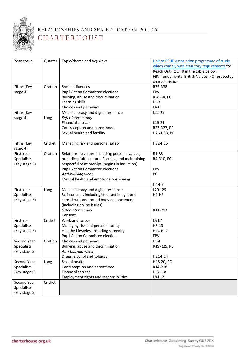

## **CHARTERHOUSE**

| Year group<br>Quarter                     | Topic/theme and Key Days                          | Link to PSHE Association programme of study   |
|-------------------------------------------|---------------------------------------------------|-----------------------------------------------|
|                                           |                                                   | which comply with statutory requirements for  |
|                                           |                                                   | Reach Out, RSE = R in the table below.        |
|                                           |                                                   | FBV=fundamental British Values, PC= protected |
|                                           |                                                   | characteristics                               |
| Fifths (Key<br>Oration                    | Social influences                                 | R35-R38                                       |
| stage 4)                                  | <b>Pupil Action Committee elections</b>           | <b>FBV</b>                                    |
|                                           | Bullying, abuse and discrimination                | R28-34, PC                                    |
|                                           | Learning skills                                   | $L1-3$                                        |
|                                           | Choices and pathways                              | $L4-6$                                        |
| Fifths (Key                               | Media Literacy and digital resilience             | L22-29                                        |
| stage 4)<br>Long                          | Safer internet day                                |                                               |
|                                           | <b>Financial choices</b>                          | L16-21                                        |
|                                           | Contraception and parenthood                      | R23-R27, PC                                   |
|                                           | Sexual health and fertility                       | H26-H33, PC                                   |
|                                           |                                                   |                                               |
| Fifths (Key<br>Cricket                    | Managing risk and personal safety                 | H22-H25                                       |
| stage 4)                                  |                                                   |                                               |
| First Year<br>Oration                     | Relationship values, including personal values,   | $R1-R3$                                       |
| Specialists                               | prejudice, faith culture; Forming and maintaining | R4-R10, PC                                    |
| (Key stage 5)                             | respectful relationships (begins in induction)    |                                               |
|                                           | <b>Pupil Action Committee elections</b>           | FBV                                           |
|                                           | Anti-bullying week                                | PC                                            |
|                                           | Mental health and emotional well-being            |                                               |
|                                           |                                                   | H4-H7                                         |
| <b>First Year</b><br>Long                 | Media Literacy and digital resilience             | L20-L25                                       |
| Specialists                               | Self-concept, including idealised images and      | $H1-H3$                                       |
| (Key stage 5)                             | considerations around body enhancement            |                                               |
|                                           | (including online issues)                         |                                               |
|                                           | Safer internet day                                | R11-R13                                       |
| Consent                                   |                                                   |                                               |
| <b>First Year</b><br>Cricket              | Work and career                                   | $L5-L7$                                       |
| Specialists                               | Managing risk and personal safety                 | H8-13                                         |
| (Key stage 5)                             | Healthy lifestyles, including screening           | H14-H17                                       |
|                                           | <b>Pupil Action Committee elections</b>           | <b>FBV</b>                                    |
| Second Year<br>Oration                    | Choices and pathways                              | $L1-4$                                        |
| Specialists                               | Bullying, abuse and discrimination                | R19-R25, PC                                   |
| (key stage 5)                             | Anti-bullying week                                |                                               |
|                                           | Drugs, alcohol and tobacco                        | H21-H24                                       |
| Second Year<br>Long                       | Sexual health                                     | H18-20, PC                                    |
| Specialists                               | Contraception and parenthood                      | R14-R18                                       |
| <b>Financial choices</b><br>(key stage 5) |                                                   |                                               |
|                                           |                                                   |                                               |
|                                           |                                                   | L13-L18                                       |
|                                           | Employment rights and responsibilities            | L8-L12                                        |
| Second Year<br>Cricket<br>Specialists     |                                                   |                                               |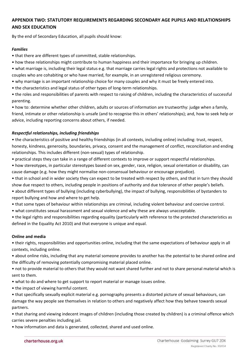### **APPENDIX TWO: STATUTORY REQUIREMENTS REGARDING SECONDARY AGE PUPILS AND RELATIONSHIPS AND SEX EDUCATION**

By the end of Secondary Education, all pupils should know:

#### *Families*

- that there are different types of committed, stable relationships.
- how these relationships might contribute to human happiness and their importance for bringing up children.
- what marriage is, including their legal status e.g. that marriage carries legal rights and protections not available to couples who are cohabiting or who have married, for example, in an unregistered religious ceremony.
- why marriage is an important relationship choice for many couples and why it must be freely entered into.
- the characteristics and legal status of other types of long-term relationships.
- the roles and responsibilities of parents with respect to raising of children, including the characteristics of successful parenting.

• how to: determine whether other children, adults or sources of information are trustworthy: judge when a family, friend, intimate or other relationship is unsafe (and to recognise this in others' relationships); and, how to seek help or advice, including reporting concerns about others, if needed.

#### *Respectful relationships, including friendships*

• the characteristics of positive and healthy friendships (in all contexts, including online) including: trust, respect, honesty, kindness, generosity, boundaries, privacy, consent and the management of conflict, reconciliation and ending relationships. This includes different (non-sexual) types of relationship.

- practical steps they can take in a range of different contexts to improve or support respectful relationships.
- how stereotypes, in particular stereotypes based on sex, gender, race, religion, sexual orientation or disability, can cause damage (e.g. how they might normalise non-consensual behaviour or encourage prejudice).
- that in school and in wider society they can expect to be treated with respect by others, and that in turn they should show due respect to others, including people in positions of authority and due tolerance of other people's beliefs.
- about different types of bullying (including cyberbullying), the impact of bullying, responsibilities of bystanders to report bullying and how and where to get help.
- that some types of behaviour within relationships are criminal, including violent behaviour and coercive control.
- what constitutes sexual harassment and sexual violence and why these are always unacceptable.
- the legal rights and responsibilities regarding equality (particularly with reference to the protected characteristics as defined in the Equality Act 2010) and that everyone is unique and equal.

#### **Online and media**

• their rights, responsibilities and opportunities online, including that the same expectations of behaviour apply in all contexts, including online.

• about online risks, including that any material someone provides to another has the potential to be shared online and the difficulty of removing potentially compromising material placed online.

• not to provide material to others that they would not want shared further and not to share personal material which is sent to them.

- what to do and where to get support to report material or manage issues online.
- the impact of viewing harmful content.

• that specifically sexually explicit material e.g. pornography presents a distorted picture of sexual behaviours, can damage the way people see themselves in relation to others and negatively affect how they behave towards sexual partners.

• that sharing and viewing indecent images of children (including those created by children) is a criminal offence which carries severe penalties including jail.

• how information and data is generated, collected, shared and used online.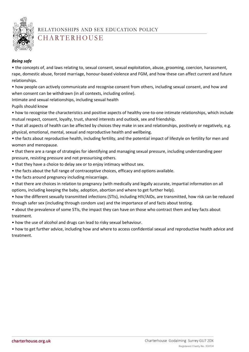

### C H A R T E R H O U S E

#### *Being safe*

• the concepts of, and laws relating to, sexual consent, sexual exploitation, abuse, grooming, coercion, harassment, rape, domestic abuse, forced marriage, honour-based violence and FGM, and how these can affect current and future relationships.

• how people can actively communicate and recognise consent from others, including sexual consent, and how and when consent can be withdrawn (in all contexts, including online).

Intimate and sexual relationships, including sexual health

Pupils should know

• how to recognise the characteristics and positive aspects of healthy one-to-one intimate relationships, which include mutual respect, consent, loyalty, trust, shared interests and outlook, sex and friendship.

- that all aspects of health can be affected by choices they make in sex and relationships, positively or negatively, e.g. physical, emotional, mental, sexual and reproductive health and wellbeing.
- the facts about reproductive health, including fertility, and the potential impact of lifestyle on fertility for men and women and menopause.
- that there are a range of strategies for identifying and managing sexual pressure, including understanding peer pressure, resisting pressure and not pressurising others.
- that they have a choice to delay sex or to enjoy intimacy without sex.
- the facts about the full range of contraceptive choices, efficacy and options available.
- the facts around pregnancy including miscarriage.
- that there are choices in relation to pregnancy (with medically and legally accurate, impartial information on all options, including keeping the baby, adoption, abortion and where to get further help).
- how the different sexually transmitted infections (STIs), including HIV/AIDs, are transmitted, how risk can be reduced through safer sex (including through condom use) and the importance of and facts about testing.
- about the prevalence of some STIs, the impact they can have on those who contract them and key facts about treatment.
- how the use of alcohol and drugs can lead to risky sexual behaviour.

• how to get further advice, including how and where to access confidential sexual and reproductive health advice and treatment.